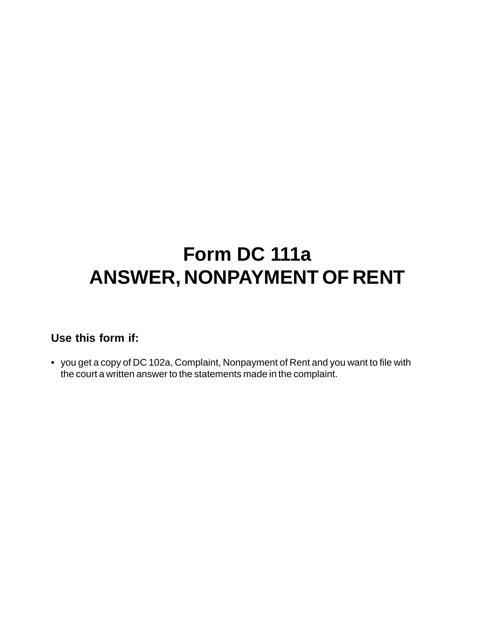## **Form DC 111a ANSWER, NONPAYMENT OF RENT**

## **Use this form if:**

**•** you get a copy of DC 102a, Complaint, Nonpayment of Rent and you want to file with the court a written answer to the statements made in the complaint.